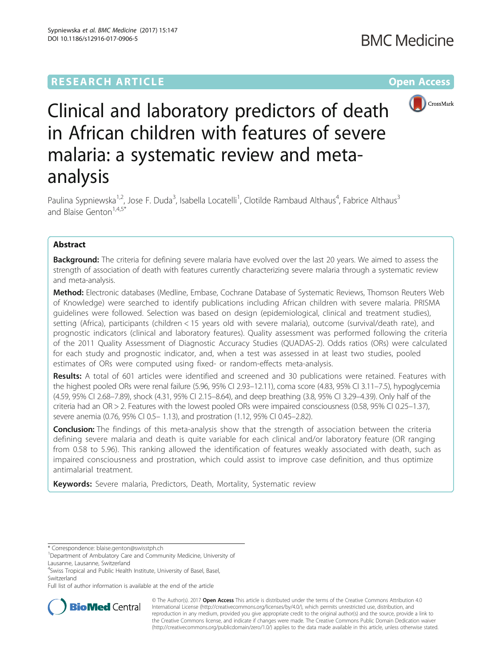

# Clinical and laboratory predictors of death in African children with features of severe malaria: a systematic review and metaanalysis

Paulina Sypniewska<sup>1,2</sup>, Jose F. Duda<sup>3</sup>, Isabella Locatelli<sup>1</sup>, Clotilde Rambaud Althaus<sup>4</sup>, Fabrice Althaus<sup>3</sup> and Blaise Genton<sup>1,4,5\*</sup>

# Abstract

**Background:** The criteria for defining severe malaria have evolved over the last 20 years. We aimed to assess the strength of association of death with features currently characterizing severe malaria through a systematic review and meta-analysis.

Method: Electronic databases (Medline, Embase, Cochrane Database of Systematic Reviews, Thomson Reuters Web of Knowledge) were searched to identify publications including African children with severe malaria. PRISMA guidelines were followed. Selection was based on design (epidemiological, clinical and treatment studies), setting (Africa), participants (children < 15 years old with severe malaria), outcome (survival/death rate), and prognostic indicators (clinical and laboratory features). Quality assessment was performed following the criteria of the 2011 Quality Assessment of Diagnostic Accuracy Studies (QUADAS-2). Odds ratios (ORs) were calculated for each study and prognostic indicator, and, when a test was assessed in at least two studies, pooled estimates of ORs were computed using fixed- or random-effects meta-analysis.

Results: A total of 601 articles were identified and screened and 30 publications were retained. Features with the highest pooled ORs were renal failure (5.96, 95% CI 2.93–12.11), coma score (4.83, 95% CI 3.11–7.5), hypoglycemia (4.59, 95% CI 2.68–7.89), shock (4.31, 95% CI 2.15–8.64), and deep breathing (3.8, 95% CI 3.29–4.39). Only half of the criteria had an OR > 2. Features with the lowest pooled ORs were impaired consciousness (0.58, 95% CI 0.25–1.37), severe anemia (0.76, 95% CI 0.5– 1.13), and prostration (1.12, 95% CI 0.45–2.82).

**Conclusion:** The findings of this meta-analysis show that the strength of association between the criteria defining severe malaria and death is quite variable for each clinical and/or laboratory feature (OR ranging from 0.58 to 5.96). This ranking allowed the identification of features weakly associated with death, such as impaired consciousness and prostration, which could assist to improve case definition, and thus optimize antimalarial treatment.

Keywords: Severe malaria, Predictors, Death, Mortality, Systematic review

Full list of author information is available at the end of the article



© The Author(s). 2017 **Open Access** This article is distributed under the terms of the Creative Commons Attribution 4.0 International License [\(http://creativecommons.org/licenses/by/4.0/](http://creativecommons.org/licenses/by/4.0/)), which permits unrestricted use, distribution, and reproduction in any medium, provided you give appropriate credit to the original author(s) and the source, provide a link to the Creative Commons license, and indicate if changes were made. The Creative Commons Public Domain Dedication waiver [\(http://creativecommons.org/publicdomain/zero/1.0/](http://creativecommons.org/publicdomain/zero/1.0/)) applies to the data made available in this article, unless otherwise stated.

<sup>\*</sup> Correspondence: [blaise.genton@swisstph.ch](mailto:blaise.genton@swisstph.ch) <sup>1</sup>

<sup>&</sup>lt;sup>1</sup>Department of Ambulatory Care and Community Medicine, University of Lausanne, Lausanne, Switzerland

<sup>&</sup>lt;sup>4</sup>Swiss Tropical and Public Health Institute, University of Basel, Basel, Switzerland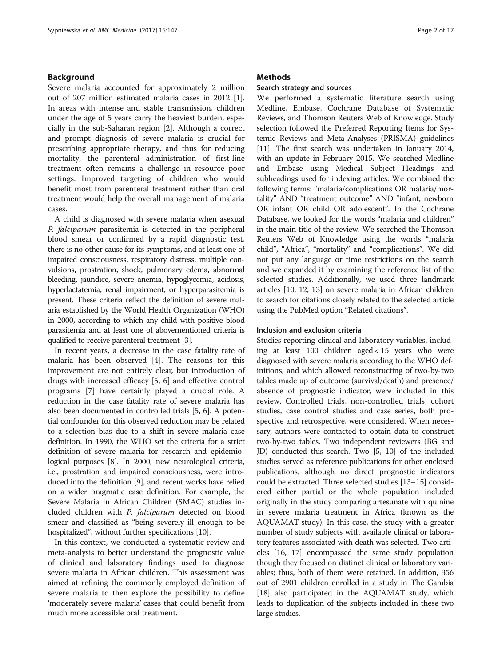# Background

Severe malaria accounted for approximately 2 million out of 207 million estimated malaria cases in 2012 [\[1](#page-15-0)]. In areas with intense and stable transmission, children under the age of 5 years carry the heaviest burden, especially in the sub-Saharan region [[2\]](#page-15-0). Although a correct and prompt diagnosis of severe malaria is crucial for prescribing appropriate therapy, and thus for reducing mortality, the parenteral administration of first-line treatment often remains a challenge in resource poor settings. Improved targeting of children who would benefit most from parenteral treatment rather than oral treatment would help the overall management of malaria cases.

A child is diagnosed with severe malaria when asexual P. falciparum parasitemia is detected in the peripheral blood smear or confirmed by a rapid diagnostic test, there is no other cause for its symptoms, and at least one of impaired consciousness, respiratory distress, multiple convulsions, prostration, shock, pulmonary edema, abnormal bleeding, jaundice, severe anemia, hypoglycemia, acidosis, hyperlactatemia, renal impairment, or hyperparasitemia is present. These criteria reflect the definition of severe malaria established by the World Health Organization (WHO) in 2000, according to which any child with positive blood parasitemia and at least one of abovementioned criteria is qualified to receive parenteral treatment [\[3\]](#page-15-0).

In recent years, a decrease in the case fatality rate of malaria has been observed [\[4](#page-15-0)]. The reasons for this improvement are not entirely clear, but introduction of drugs with increased efficacy [\[5](#page-15-0), [6\]](#page-15-0) and effective control programs [[7](#page-15-0)] have certainly played a crucial role. A reduction in the case fatality rate of severe malaria has also been documented in controlled trials [\[5, 6\]](#page-15-0). A potential confounder for this observed reduction may be related to a selection bias due to a shift in severe malaria case definition. In 1990, the WHO set the criteria for a strict definition of severe malaria for research and epidemiological purposes [[8\]](#page-15-0). In 2000, new neurological criteria, i.e., prostration and impaired consciousness, were introduced into the definition [\[9\]](#page-15-0), and recent works have relied on a wider pragmatic case definition. For example, the Severe Malaria in African Children (SMAC) studies included children with P. falciparum detected on blood smear and classified as "being severely ill enough to be hospitalized", without further specifications [[10](#page-15-0)].

In this context, we conducted a systematic review and meta-analysis to better understand the prognostic value of clinical and laboratory findings used to diagnose severe malaria in African children. This assessment was aimed at refining the commonly employed definition of severe malaria to then explore the possibility to define 'moderately severe malaria' cases that could benefit from much more accessible oral treatment.

# **Methods**

# Search strategy and sources

We performed a systematic literature search using Medline, Embase, Cochrane Database of Systematic Reviews, and Thomson Reuters Web of Knowledge. Study selection followed the Preferred Reporting Items for Systemic Reviews and Meta-Analyses (PRISMA) guidelines [[11](#page-15-0)]. The first search was undertaken in January 2014, with an update in February 2015. We searched Medline and Embase using Medical Subject Headings and subheadings used for indexing articles. We combined the following terms: "malaria/complications OR malaria/mortality" AND "treatment outcome" AND "infant, newborn OR infant OR child OR adolescent". In the Cochrane Database, we looked for the words "malaria and children" in the main title of the review. We searched the Thomson Reuters Web of Knowledge using the words "malaria child", "Africa", "mortality" and "complications". We did not put any language or time restrictions on the search and we expanded it by examining the reference list of the selected studies. Additionally, we used three landmark articles [[10](#page-15-0), [12](#page-15-0), [13\]](#page-15-0) on severe malaria in African children to search for citations closely related to the selected article using the PubMed option "Related citations".

## Inclusion and exclusion criteria

Studies reporting clinical and laboratory variables, including at least 100 children aged < 15 years who were diagnosed with severe malaria according to the WHO definitions, and which allowed reconstructing of two-by-two tables made up of outcome (survival/death) and presence/ absence of prognostic indicator, were included in this review. Controlled trials, non-controlled trials, cohort studies, case control studies and case series, both prospective and retrospective, were considered. When necessary, authors were contacted to obtain data to construct two-by-two tables. Two independent reviewers (BG and JD) conducted this search. Two [[5, 10\]](#page-15-0) of the included studies served as reference publications for other enclosed publications, although no direct prognostic indicators could be extracted. Three selected studies [\[13](#page-15-0)–[15](#page-15-0)] considered either partial or the whole population included originally in the study comparing artesunate with quinine in severe malaria treatment in Africa (known as the AQUAMAT study). In this case, the study with a greater number of study subjects with available clinical or laboratory features associated with death was selected. Two articles [\[16, 17](#page-15-0)] encompassed the same study population though they focused on distinct clinical or laboratory variables; thus, both of them were retained. In addition, 356 out of 2901 children enrolled in a study in The Gambia [[18](#page-15-0)] also participated in the AQUAMAT study, which leads to duplication of the subjects included in these two large studies.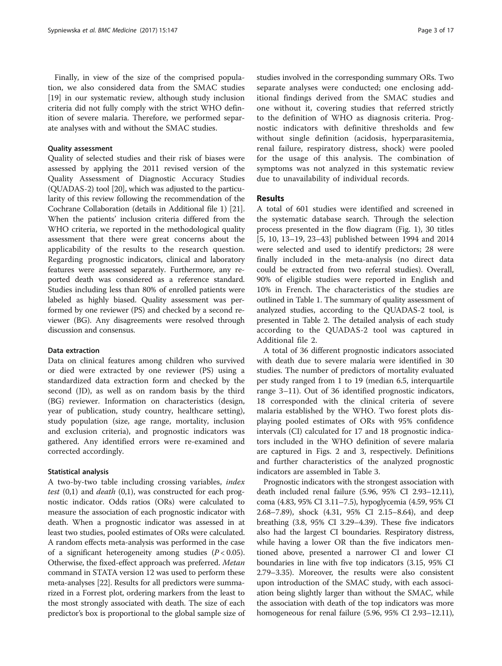Finally, in view of the size of the comprised population, we also considered data from the SMAC studies [[19\]](#page-15-0) in our systematic review, although study inclusion criteria did not fully comply with the strict WHO definition of severe malaria. Therefore, we performed separate analyses with and without the SMAC studies.

# Quality assessment

Quality of selected studies and their risk of biases were assessed by applying the 2011 revised version of the Quality Assessment of Diagnostic Accuracy Studies (QUADAS-2) tool [\[20](#page-15-0)], which was adjusted to the particularity of this review following the recommendation of the Cochrane Collaboration (details in Additional file [1](#page-15-0)) [[21](#page-15-0)]. When the patients' inclusion criteria differed from the WHO criteria, we reported in the methodological quality assessment that there were great concerns about the applicability of the results to the research question. Regarding prognostic indicators, clinical and laboratory features were assessed separately. Furthermore, any reported death was considered as a reference standard. Studies including less than 80% of enrolled patients were labeled as highly biased. Quality assessment was performed by one reviewer (PS) and checked by a second reviewer (BG). Any disagreements were resolved through discussion and consensus.

## Data extraction

Data on clinical features among children who survived or died were extracted by one reviewer (PS) using a standardized data extraction form and checked by the second (JD), as well as on random basis by the third (BG) reviewer. Information on characteristics (design, year of publication, study country, healthcare setting), study population (size, age range, mortality, inclusion and exclusion criteria), and prognostic indicators was gathered. Any identified errors were re-examined and corrected accordingly.

## Statistical analysis

A two-by-two table including crossing variables, index test  $(0,1)$  and *death*  $(0,1)$ , was constructed for each prognostic indicator. Odds ratios (ORs) were calculated to measure the association of each prognostic indicator with death. When a prognostic indicator was assessed in at least two studies, pooled estimates of ORs were calculated. A random effects meta-analysis was performed in the case of a significant heterogeneity among studies  $(P < 0.05)$ . Otherwise, the fixed-effect approach was preferred. Metan command in STATA version 12 was used to perform these meta-analyses [\[22\]](#page-15-0). Results for all predictors were summarized in a Forrest plot, ordering markers from the least to the most strongly associated with death. The size of each predictor's box is proportional to the global sample size of studies involved in the corresponding summary ORs. Two separate analyses were conducted; one enclosing additional findings derived from the SMAC studies and one without it, covering studies that referred strictly to the definition of WHO as diagnosis criteria. Prognostic indicators with definitive thresholds and few without single definition (acidosis, hyperparasitemia, renal failure, respiratory distress, shock) were pooled for the usage of this analysis. The combination of symptoms was not analyzed in this systematic review due to unavailability of individual records.

# Results

A total of 601 studies were identified and screened in the systematic database search. Through the selection process presented in the flow diagram (Fig. [1](#page-3-0)), 30 titles [[5, 10](#page-15-0), [13](#page-15-0)–[19](#page-15-0), [23](#page-15-0)–[43\]](#page-16-0) published between 1994 and 2014 were selected and used to identify predictors; 28 were finally included in the meta-analysis (no direct data could be extracted from two referral studies). Overall, 90% of eligible studies were reported in English and 10% in French. The characteristics of the studies are outlined in Table [1](#page-4-0). The summary of quality assessment of analyzed studies, according to the QUADAS-2 tool, is presented in Table [2](#page-9-0). The detailed analysis of each study according to the QUADAS-2 tool was captured in Additional file [2](#page-15-0).

A total of 36 different prognostic indicators associated with death due to severe malaria were identified in 30 studies. The number of predictors of mortality evaluated per study ranged from 1 to 19 (median 6.5, interquartile range 3–11). Out of 36 identified prognostic indicators, 18 corresponded with the clinical criteria of severe malaria established by the WHO. Two forest plots displaying pooled estimates of ORs with 95% confidence intervals (CI) calculated for 17 and 18 prognostic indicators included in the WHO definition of severe malaria are captured in Figs. [2](#page-10-0) and [3](#page-10-0), respectively. Definitions and further characteristics of the analyzed prognostic indicators are assembled in Table [3](#page-11-0).

Prognostic indicators with the strongest association with death included renal failure (5.96, 95% CI 2.93–12.11), coma (4.83, 95% CI 3.11–7.5), hypoglycemia (4.59, 95% CI 2.68–7.89), shock (4.31, 95% CI 2.15–8.64), and deep breathing (3.8, 95% CI 3.29–4.39). These five indicators also had the largest CI boundaries. Respiratory distress, while having a lower OR than the five indicators mentioned above, presented a narrower CI and lower CI boundaries in line with five top indicators (3.15, 95% CI 2.79–3.35). Moreover, the results were also consistent upon introduction of the SMAC study, with each association being slightly larger than without the SMAC, while the association with death of the top indicators was more homogeneous for renal failure (5.96, 95% CI 2.93-12.11),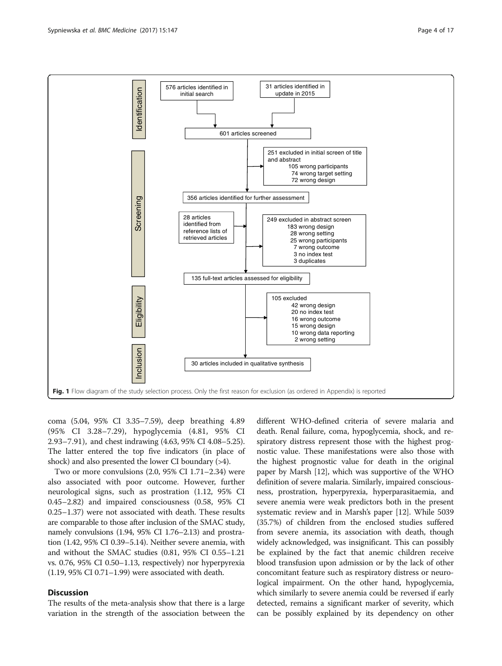<span id="page-3-0"></span>

coma (5.04, 95% CI 3.35–7.59), deep breathing 4.89 (95% CI 3.28–7.29), hypoglycemia (4.81, 95% CI 2.93–7.91), and chest indrawing (4.63, 95% CI 4.08–5.25). The latter entered the top five indicators (in place of shock) and also presented the lower CI boundary (>4).

Two or more convulsions (2.0, 95% CI 1.71–2.34) were also associated with poor outcome. However, further neurological signs, such as prostration (1.12, 95% CI 0.45–2.82) and impaired consciousness (0.58, 95% CI 0.25–1.37) were not associated with death. These results are comparable to those after inclusion of the SMAC study, namely convulsions (1.94, 95% CI 1.76–2.13) and prostration (1.42, 95% CI 0.39–5.14). Neither severe anemia, with and without the SMAC studies (0.81, 95% CI 0.55–1.21 vs. 0.76, 95% CI 0.50–1.13, respectively) nor hyperpyrexia (1.19, 95% CI 0.71–1.99) were associated with death.

# Discussion

The results of the meta-analysis show that there is a large variation in the strength of the association between the

different WHO-defined criteria of severe malaria and death. Renal failure, coma, hypoglycemia, shock, and respiratory distress represent those with the highest prognostic value. These manifestations were also those with the highest prognostic value for death in the original paper by Marsh [\[12\]](#page-15-0), which was supportive of the WHO definition of severe malaria. Similarly, impaired consciousness, prostration, hyperpyrexia, hyperparasitaemia, and severe anemia were weak predictors both in the present systematic review and in Marsh's paper [[12](#page-15-0)]. While 5039 (35.7%) of children from the enclosed studies suffered from severe anemia, its association with death, though widely acknowledged, was insignificant. This can possibly be explained by the fact that anemic children receive blood transfusion upon admission or by the lack of other concomitant feature such as respiratory distress or neurological impairment. On the other hand, hypoglycemia, which similarly to severe anemia could be reversed if early detected, remains a significant marker of severity, which can be possibly explained by its dependency on other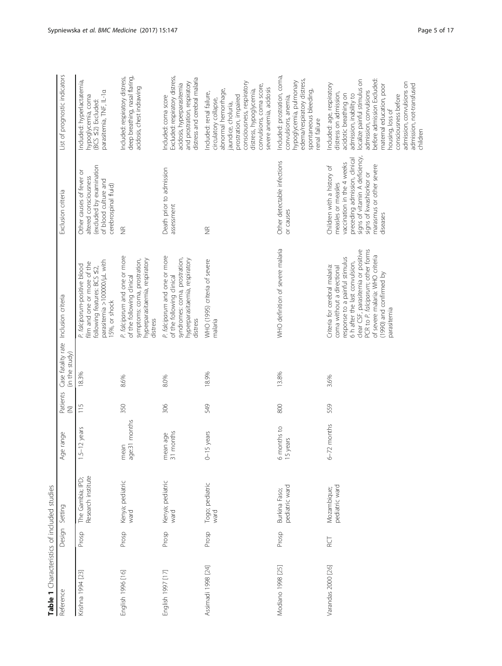<span id="page-4-0"></span>

| Table 1 Characteristics of included studies |            |                                        |                            |                 |                                      |                                                                                                                                                                                                                                                                                          |                                                                                                                                                                                                                      |                                                                                                                                                                                                                                                                                                                                                |
|---------------------------------------------|------------|----------------------------------------|----------------------------|-----------------|--------------------------------------|------------------------------------------------------------------------------------------------------------------------------------------------------------------------------------------------------------------------------------------------------------------------------------------|----------------------------------------------------------------------------------------------------------------------------------------------------------------------------------------------------------------------|------------------------------------------------------------------------------------------------------------------------------------------------------------------------------------------------------------------------------------------------------------------------------------------------------------------------------------------------|
| Reference                                   | Design     | Setting                                | range<br>Age               | Patients<br>(N) | Case fatality rate<br>(in the study) | Inclusion criteria                                                                                                                                                                                                                                                                       | Exclusion criteria                                                                                                                                                                                                   | List of prognostic indicators                                                                                                                                                                                                                                                                                                                  |
| Krishna 1994 [23]                           | Prosp      | Research institute<br>The Gambia; IPD; | 12 years<br>$\overline{1}$ | $\frac{5}{11}$  | 18.3%                                | parasitemia >100000/µL with<br>film and one or more of the<br>P. falciparum-positive blood<br>following features: BCS <2,<br>15%, or shock                                                                                                                                               | (excluded by examination<br>১<br>altered consciousness<br>Other causes of fever<br>of blood culture and<br>cerebrospinal fluid)                                                                                      | Included: hyperlactatemia,<br>parasitemia, TNF, IL-1a<br>hypoglycemia, coma<br>$(BCS \leq 2)$ Excluded:                                                                                                                                                                                                                                        |
| English 1996 [16]                           | Prosp      | Kenya; pediatric<br>ward               | age:31 months<br>mean      | 350             | 8.6%                                 | P. falciparum and one or more<br>symptoms: coma, prostration,<br>hyperparasitaemia, respiratory<br>of the following clinical<br>distress                                                                                                                                                 | $\widetilde{\Xi}$                                                                                                                                                                                                    | deep breathing, nasal flaring,<br>Induded: respiratory distress,<br>acidosis, chest indrawing                                                                                                                                                                                                                                                  |
| English 1997 [17]                           | Prosp      | Kenya; pediatric<br>ward               | 31 months<br>mean age      | 306             | 8.0%                                 | P. falciparum and one or more<br>syndromes: coma, prostration,<br>hyperparasitaemia, respiratory<br>of the following clinical<br>distress                                                                                                                                                | Death prior to admission<br>assessment                                                                                                                                                                               | Excluded: respiratory distress,<br>distress and cerebral malaria<br>and prostration, respiratory<br>acidosis, hyperparasitemia<br>Included: coma score                                                                                                                                                                                         |
| Assimadi 1998 [24]                          | Prosp      | Togo; pediatric<br>prew                | years<br>$0 - 15$          | 549             | 18.9%                                | WHO (1995) criteria of severe<br>malaria                                                                                                                                                                                                                                                 | $\widetilde{\Xi}$                                                                                                                                                                                                    | consciousness, respiratory<br>convulsions, coma score,<br>severe anemia, acidosis<br>distress, hypoglycemia,<br>abnormal hemorrhage,<br>Included: renal failure,<br>prostration, impaired<br>circulatory collapse,<br>jaundice, choluria,                                                                                                      |
| Modiano 1998 [25]                           | Prosp      | pediatric ward<br>Burkina Faso;        | 6 months to<br>15 years    | 800             | 13.8%                                | WHO definition of severe malaria                                                                                                                                                                                                                                                         | Other detectable infections<br>or causes                                                                                                                                                                             | Included: prostration, coma,<br>edema/respiratory distress,<br>hypoglycemia, pulmonary<br>spontaneous bleeding,<br>convulsions, anemia,<br>enal failure                                                                                                                                                                                        |
| Varandas 2000 [26]                          | <b>RCT</b> | pediatric ward<br>Mozambique;          | months<br>$6 - 72$         | 559             | 3.6%                                 | clear CSF, parasitemia or positive<br>PCR to P. falciparum; other forms<br>of severe malaria: WHO criteria<br>response to a painful stimulus<br>6 h after the last convulsion,<br>Criteria for cerebral malaria:<br>coma without a directional<br>(1990) and confirmed by<br>parasitemia | signs of vitamin A deficiency,<br>preceding admission, clinical<br>vaccination in the 4 weeks<br>marasmus or other severe<br>Children with a history of<br>signs of kwashiorkor or<br>measles or measles<br>diseases | localize painful stimulus on<br>before admission Excluded:<br>admission, convulsions on<br>Included: age, respiratory<br>admission, not-transfused<br>maternal education, poor<br>admission, convulsions<br>distress on admission,<br>acidotic breathing on<br>admission, inability to<br>consciousness before<br>housing, loss of<br>children |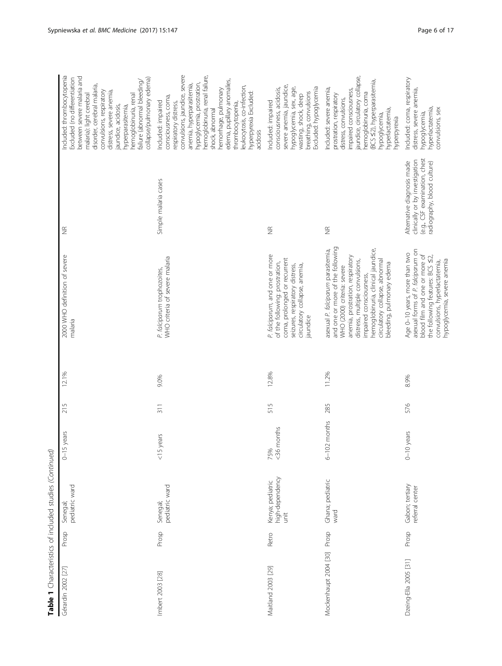| Gérardin 2002 [27]    | Prosp | pediatric ward<br>Senegal;                  | 5 years<br>$\frac{11}{5}$ | 215 | 12.1% | 2000 WHO definition of severe<br>malaria                                                                                                                                                                                                                                                                     | $\frac{\alpha}{2}$                                                                                                           | Included: thrombocytopenia<br>between severe malaria and<br>Excluded (no differentiation<br>collapse/pulmonary edema)<br>failure (abnormal bleeding/<br>disorder, cerebral malaria,<br>convulsions, respiratory<br>distress, severe anemia,<br>malaria): light cerebral<br>hemoglobinuria, renal<br>jaundice, acidosis,<br>hyperparasitemia,                           |
|-----------------------|-------|---------------------------------------------|---------------------------|-----|-------|--------------------------------------------------------------------------------------------------------------------------------------------------------------------------------------------------------------------------------------------------------------------------------------------------------------|------------------------------------------------------------------------------------------------------------------------------|------------------------------------------------------------------------------------------------------------------------------------------------------------------------------------------------------------------------------------------------------------------------------------------------------------------------------------------------------------------------|
| Imbert 2003 [28]      | Prosp | pediatric ward<br>Senegal;                  | years<br>$rac{15}{6}$     | 311 | 9.0%  | WHO criteria of severe malaria<br>P. falciparum trophozoites,                                                                                                                                                                                                                                                | Simple malaria cases                                                                                                         | convulsions, jaundice, severe<br>hemoglobinuria, renal failure,<br>edema, pupillary anomalies,<br>hypoglycemia, prostration,<br>anemia, hyperparasitemia,<br>leukocytosis, co-infection,<br>hemorrhage, pulmonary<br>hyperpyrexia Excluded:<br>consciousness, coma,<br>Included: impaired<br>respiratory distress,<br>thrombocytopenia,<br>shock, abnormal<br>acidosis |
| Maitland 2003 [29]    | Retro | high-dependency<br>Kenya; pediatric<br>init | months<br>75%<br>$<36$    | 515 | 12.8% | P. falciparum, and one or more<br>coma, prolonged or recurrent<br>of the following: prostration,<br>seizures, respiratory distress,<br>circulatory collapse, anemia,<br>jaundice                                                                                                                             | $\widetilde{\Xi}$                                                                                                            | severe anemia, jaundice,<br>hypoglycemia, sex, age,<br>consciousness, acidosis,<br>Excluded: hypoglycemia<br>breathing, convulsions<br>wasting, shock, deep<br>Included: impaired                                                                                                                                                                                      |
| Mockenhaupt 2004 [30] | Prosp | Ghana; pediatric<br>ward                    | $6-102$ months            | 285 | 11.2% | and one or more of the following<br>hemoglobinuria, clinical jaundice,<br>asexual P. falciparum parasitemia,<br>anemia, prostration, respiratory<br>circulatory collapse, abnormal<br>distress, multiple convulsions,<br>bleeding, pulmonary edema<br>WHO (2000) criteria: severe<br>impaired consciousness, | $\frac{\alpha}{2}$                                                                                                           | aundice, circulatory collapse,<br>(BCS <2), hyperparasitemia,<br>Included: severe anemia,<br>impaired consciousness,<br>hemoglobinuria, coma<br>prostration, respiratory<br>distress, convulsions,<br>hyperlactatemia,<br>hypoglycemia,<br>nyperpyrexia                                                                                                                |
| Dzeing-Ella 2005 [31] | Prosp | Gabon; tertiary<br>referral center          | $0 - 10$ years            | 576 | 8.9%  | asexual forms of P. falciparum on<br>Age 0-10 years, more than two<br>blood film and one or more of<br>the following features: BCS <2,<br>hypoglycemia, severe anemia<br>convulsions, hyperlactatemia,                                                                                                       | (e.g., CSF examination, chest<br>clinically or by investigation<br>Alternative diagnosis made<br>radiography, blood culture) | Included: coma, respiratory<br>distress, severe anemia,<br>hyperlactatemia,<br>convulsions, sex<br>hypoglycemia,                                                                                                                                                                                                                                                       |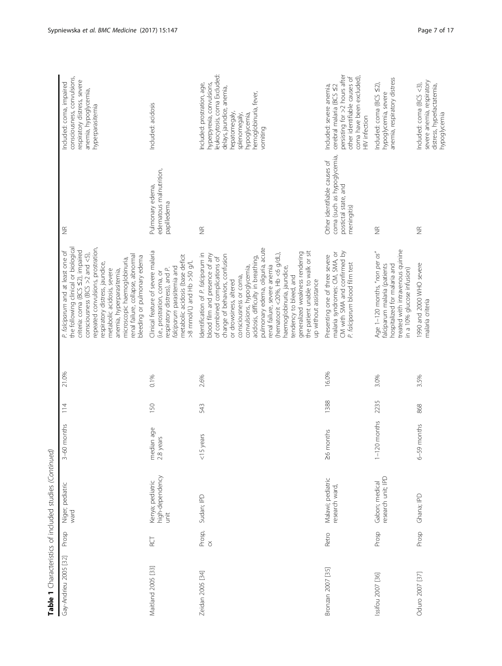| Gay-Andrieu 2005 [32] | Prosp                     | Niger; pediatric<br>ward                    | 3-60 months                        | $\frac{4}{1}$ | 21.0% | the following clinical or biological<br>repeated convulsions, prostration,<br>P. falciparum and at least one of<br>criteria: coma (BCS <2), impaired<br>consciousness (BCS >2 and <5),<br>renal failure, collapse, abnormal<br>bleeding or pulmonary edema<br>microscopic haemoglobinuria,<br>respiratory distress, jaundice,<br>metabolic acidosis, severe<br>anemia, hyperparasitemia,                                                                                                                                     | $\widetilde{\Xi}$                                                                                  | consciousness, convulsions,<br>respiratory distress, severe<br>Included: coma, impaired<br>anemia, hypoglycemia,<br>hyperparasitemia                                                                           |
|-----------------------|---------------------------|---------------------------------------------|------------------------------------|---------------|-------|------------------------------------------------------------------------------------------------------------------------------------------------------------------------------------------------------------------------------------------------------------------------------------------------------------------------------------------------------------------------------------------------------------------------------------------------------------------------------------------------------------------------------|----------------------------------------------------------------------------------------------------|----------------------------------------------------------------------------------------------------------------------------------------------------------------------------------------------------------------|
| Maitland 2005 [33]    | <b>RCT</b>                | high-dependency<br>Kenya; pediatric<br>unit | median age<br>ears<br>$2.8 \times$ | 150           | 0.1%  | Clinical feature of severe malaria<br>metabolic acidosis (base deficit<br>>8 mmol/L) and Hb >50 g/L<br>falciparum parasitemia and<br>respiratory distress), and P.<br>(i.e., prostration, coma, or                                                                                                                                                                                                                                                                                                                           | edematous malnutrition,<br>Pulmonary edema,<br>papilledema                                         | Included: acidosis                                                                                                                                                                                             |
| Zeidan 2005 [34]      | Prosp,<br>$\breve{\circ}$ | Sudan; IPD                                  | years<br>$rac{15}{6}$              | 543           | 2.6%  | pulmonary edema, oliguria, acute<br>the patient unable to walk or sit<br>generalized weakness rendering<br>Identification of P. falciparum in<br>(hematocrit <20%, Hb <6 g/dL),<br>change of behaviors, confusion<br>blood film and presence of any<br>of combined complications of<br>acidosis, difficulty in breathing,<br>renal failure, severe anemia<br>convulsions, hypoglycemia,<br>naemoglobinuria, jaundice,<br>tendency to bleed, and<br>consciousness or coma,<br>up without assistance<br>or drowsiness, altered | $\frac{\alpha}{2}$                                                                                 | leukocytosis, coma Excluded:<br>hyperpyrexia, convulsions,<br>ncluded: prostration, age,<br>delays, jaundice, anemia,<br>hemoglobinuria, fever,<br>hepatomegaly,<br>splenomegaly,<br>hypoglycemia,<br>vomiting |
| Bronzan 2007 [35]     | Retro                     | Malawi; pediatric<br>research ward,         | 26 months                          | 1388          | 16.0% | malaria syndromes: CM, SMA, or<br>CM with SMA and confirmed by<br>Presenting one of three severe<br>P. falciparum blood film test                                                                                                                                                                                                                                                                                                                                                                                            | coma (such as hypoglycemia,<br>Other identifiable causes of<br>postictal state, and<br>meningitis) | persisting for >2 hours after<br>coma have been excluded),<br>other identifiable causes of<br>Included: severe anemia,<br>cerebral malaria (BCS <2<br><b>HIV</b> infection                                     |
| Issifou 2007 [36]     | Prosp                     | research unit; IPD<br>Gabon; medical        | $1 - 120$ months                   | 2235          | 3.0%  | treated with intravenous quinine<br>Age 1-120 months, "non per os"<br>falciparum malaria (patients<br>hospitalized for malaria and<br>in a 10% glucose infusion)                                                                                                                                                                                                                                                                                                                                                             | $\widetilde{\Xi}$                                                                                  | anemia, respiratory distress<br>Included: coma (BCS <2),<br>hypoglycemia, severe                                                                                                                               |
| Oduro 2007 [37]       | Prosp                     | Ghana; IPD                                  | 6-59 months                        | 868           | 3.5%  | 1990 and 2000 WHO severe<br>malaria criteria                                                                                                                                                                                                                                                                                                                                                                                                                                                                                 | $\frac{\alpha}{2}$                                                                                 | severe anemia, respiratory<br>Included: coma (BCS <3),<br>distress, hyperlactatemia,<br>hypoglycemia                                                                                                           |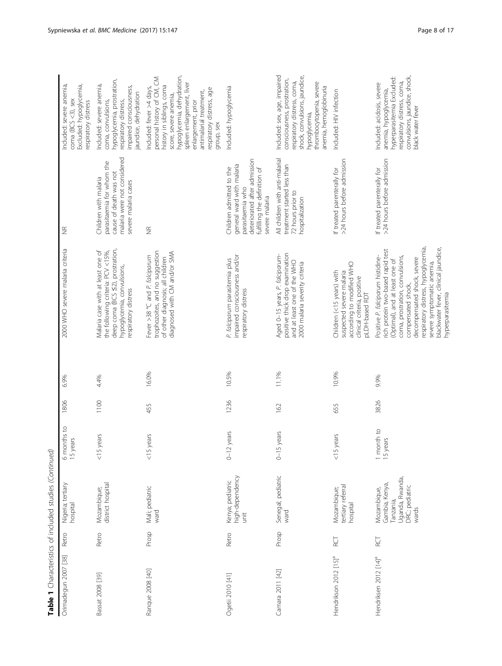| Table 1 Characteristics of included studies (Continued |            |                                                                                           |                              |      |       |                                                                                                                                                                                                                                                                                                                                   |                                                                                                                                                             |                                                                                                                                                                                                                                                                     |
|--------------------------------------------------------|------------|-------------------------------------------------------------------------------------------|------------------------------|------|-------|-----------------------------------------------------------------------------------------------------------------------------------------------------------------------------------------------------------------------------------------------------------------------------------------------------------------------------------|-------------------------------------------------------------------------------------------------------------------------------------------------------------|---------------------------------------------------------------------------------------------------------------------------------------------------------------------------------------------------------------------------------------------------------------------|
| Orimadegun 2007 [38]                                   | Retro      | Nigeria; tertiary<br>hospital                                                             | 6 months to<br>15 years      | 1806 | 6.9%  | 2000 WHO severe malaria criteria                                                                                                                                                                                                                                                                                                  | $\widetilde{\Xi}$                                                                                                                                           | Included: severe anemia,<br>Excluded: hypoglycemia,<br>coma (BCS <3), sex<br>espiratory distress                                                                                                                                                                    |
| Bassat 2008 [39]                                       | Retro      | district hospital<br>Mozambique;                                                          | <15 years                    | 1100 | 4.4%  | deep coma (BCS <2), prostration,<br>Malaria case with at least one of<br>the following criteria: PCV <15%,<br>hypoglycemia, convulsions,<br>respiratory distress                                                                                                                                                                  | malaria were not considered<br>parasitaemia for whom the<br>cause of death was not<br>Children with malaria<br>severe malaria cases                         | hypoglycemia, prostration,<br>Included: severe anemia,<br>impaired consciousness,<br>jaundice, dehydration<br>respiratory distress,<br>coma, convulsions,                                                                                                           |
| Ranque 2008 [40]                                       | Prosp      | Mali; pediatric<br>ward                                                                   | years<br>$rac{15}{\sqrt{2}}$ | 455  | 16.0% | trophozoites, and no suggestion<br>diagnosed with CM and/or SMA<br>Fever >38 °C and P. falciparum<br>of other diagnosis; all children                                                                                                                                                                                             | $\widetilde{\Xi}$                                                                                                                                           | hypoglycemia, dehydration,<br>personal history of CM, CM<br>spleen enlargement, liver<br>history in siblings, coma<br>Included: fever >4 days,<br>respiratory distress, age<br>antimalarial treatment,<br>score, severe anemia,<br>enlargement, prior<br>group, sex |
| Ogetii 2010 [41]                                       | Retro      | high-dependency<br>Kenya; pediatric<br>unit                                               | 12 years<br>$\overline{d}$   | 1236 | 10.5% | impaired consciousness and/or<br>P. falciparum parasitemia plus<br>respiratory distress                                                                                                                                                                                                                                           | deteriorated after admission<br>general ward with malaria<br>Children admitted to the<br>fulfilling the definition of<br>parasitaemia who<br>severe malaria | Included: hypoglycemia                                                                                                                                                                                                                                              |
| Camara 2011 [42]                                       | Prosp      | Senegal; pediatric<br>ward                                                                | I5 years<br>$\overline{d}$   | 162  | 11.1% | positive thick drop examination<br>Aged 0-15 years, P. falciparum-<br>and at least one of the WHO<br>2000 malaria severity criteria                                                                                                                                                                                               | All children with anti-malarial<br>treatment started less than<br>72 hours prior to<br>hospitalization                                                      | Included: sex, age, impaired<br>shock, convulsions, jaundice,<br>consciousness, prostration,<br>respiratory distress, coma,<br>thrombocytopenia, severe<br>anemia, hemoglobinuria<br>hypoglycemia,                                                                  |
| Hendrikson 2012 [15] <sup>a</sup>                      | <b>D</b>   | tertiary referral<br>Mozambique;<br>hospital                                              | $<$ 15 years                 | 655  | 10.9% | according to modified WHO<br>Children (<15 years) with<br>suspected severe malaria<br>clinical criteria, positive<br>pLDH-based RDT                                                                                                                                                                                               | >24 hours before admission<br>If treated parenterally for                                                                                                   | Included: HIV infection                                                                                                                                                                                                                                             |
| Hendriksen 2012 [14] <sup>a</sup>                      | <b>RCT</b> | Uganda, Rwanda,<br>DRC; pediatric<br>wards<br>Gambia, Kenya,<br>Mozambique,<br>l'anzania, | 1 month to<br>15 years       | 3826 | 9.9%  | respiratory distress, hypoglycemia,<br>blackwater fever, clinical jaundice,<br>rich protein two-based rapid test<br>Positive P. falciparum histidine-<br>coma, prostration, convulsions,<br>decompensated shock, severe<br>(Optimal), and at least one of<br>severe symptomatic anemia,<br>compensated shock,<br>hyperparasitemia | >24 hours before admission<br>If treated parenterally for                                                                                                   | convulsions, jaundice, shock,<br>hyperparasitemia Excluded:<br>respiratory distress, coma,<br>Included: acidosis, severe<br>anemia, hypoglycemia,<br>black water fever                                                                                              |

Sypniewska et al. BMC Medicine (2017) 15:147 Page 8 of 17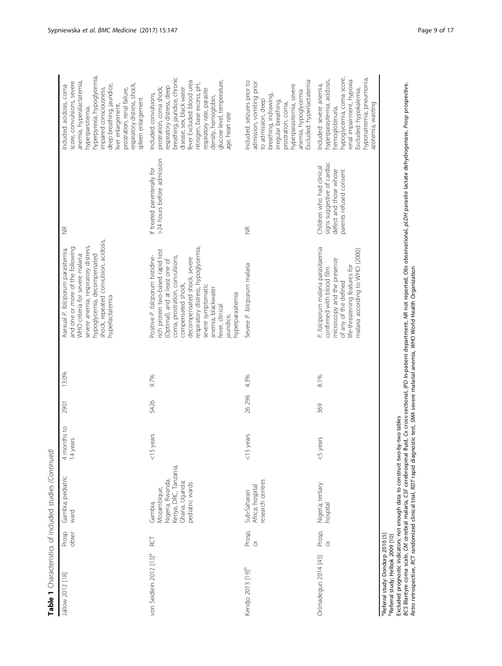| Jallow 2012 [18]                    | Prosp<br>obser            | Gambia; pediatric<br>ward                                                                                | 4 months to<br>ears<br>$\frac{14}{3}$ | 2901   | 13.0% | shock, repeated convulsion, acidosis,<br>severe anemia, respiratory distress,<br>and one or more of the following<br>Asexual P. falciparum parasitemia,<br>WHO criteria for severe malaria:<br>hypoglycemia, decompensated<br>hyperlactatemia                                                                                          | $\widetilde{\Xi}$                                                                                             | hyperpyrexia, hypoglycemia,<br>score, convulsions, severe<br>anemia, hyperalactatemia,<br>respiratory distress, shock,<br>deep breathing, jaundice,<br>Included: acidosis, coma<br>impaired consciousness,<br>prostration, renal failure,<br>spleen enlargement<br>iver enlargement<br>hyperparsitemia,          |
|-------------------------------------|---------------------------|----------------------------------------------------------------------------------------------------------|---------------------------------------|--------|-------|----------------------------------------------------------------------------------------------------------------------------------------------------------------------------------------------------------------------------------------------------------------------------------------------------------------------------------------|---------------------------------------------------------------------------------------------------------------|------------------------------------------------------------------------------------------------------------------------------------------------------------------------------------------------------------------------------------------------------------------------------------------------------------------|
| von Seidlein 2012 [13] <sup>ª</sup> | RCT                       | Kenya, DRC, Tanzania,<br>Nigeria, Rwanda,<br>Ghana, Uganda;<br>pediatric wards<br>Mozambique,<br>Gambia, | years<br>$rac{15}{5}$                 | 5426   | 9.7%  | respiratory distress, hypoglycemia,<br>rich protein two-based rapid test<br>coma, prostration, convulsions,<br>Positive P. falciparum histidine-<br>decompensated shock, severe<br>(Optimal), and at least one of<br>compensated shock,<br>severe symptomatic<br>anemia, blackwater<br>hyperparasitemia<br>fever, clinical<br>aundice, | >24 hours before admission<br>If treated parenterally for                                                     | breathing, jaundice, chronic<br>glucose level, temperature,<br>ever Excluded: blood urea<br>nitrogen, base excess, pH,<br>respiratory distress, deep<br>prostration, coma shock,<br>disease, sex, black water<br>respiratory rate, parasite<br>Included: convulsions,<br>density, hemoglobin,<br>age, heart rate |
| Kendjo 2013 [19] <sup>b</sup>       | Prosp,<br>$\breve{\circ}$ | research centres<br>Africa; hospital<br>Sub-Saharan                                                      | years<br>$rac{5}{\sqrt{2}}$           | 26 296 | 4.3%  | Severe P. falciparum malaria                                                                                                                                                                                                                                                                                                           | $\frac{\alpha}{2}$                                                                                            | Excluded: hyperlactatemia<br>Included: seizures prior to<br>admission, vomiting prior<br>hyperparasitemia, severe<br>anemia, hypoglycemia<br>breathing, indrawing,<br>to admission, deep<br>irregular breathing,<br>prostration, coma,                                                                           |
| Orimadegun 2014 [43]                | Prosp,<br>$\delta$        | Nigeria; tertiary<br>hospital                                                                            | $5$ years                             | 369    | 8.1%  | P. falciparum malaria parasitaemia<br>malaria according to WHO (2000)<br>microscopy and the presence<br>life-threatening features for<br>confirmed with blood film<br>of any of the defined                                                                                                                                            | signs suggestive of cardiac<br>Children who had clinical<br>defect and those whose<br>parents refused consent | hypoglycemia, coma score,<br>hyponatremia, pneumonia,<br>hyperparasitemia, acidosis,<br>renal impairment, hypoxia<br>Included: severe anemia,<br>Excluded: hypokalemia,<br>azotemia, wasting<br>hemoglobinuria,                                                                                                  |
|                                     |                           |                                                                                                          |                                       |        |       |                                                                                                                                                                                                                                                                                                                                        |                                                                                                               |                                                                                                                                                                                                                                                                                                                  |

Table 1 Characteristics of included studies (Continued) **Table 1** Characteristics of included studies (Continued)

PReferral study: Dondorp 2010 [[5](#page-15-0)]<br><sup>b</sup>Referral study: Helbok 2009 [[10\]](#page-15-0)

Excluded prognostic indicators: not enough data to construct two-by-two tables

<sup>a</sup>Referral study: Dondorp 2010 [5]<br><sup>b</sup>Referral study: Helbok 2009 [10]<br>Excluded prognostic indicators: not enough data to construct two-by-two tables<br>Acrospective, ACT randomized clinical trial, ADT rapid diagnostic test BCS Blantyre coma scale, CM cerebral malaria, CSF cerebrospinal fluid, Cx cross-sectional, IPD In-patient department, NR not reported, Obs observational, pLDH parasite lactate dehydrogenase, Prosp prospective, Retro retrospective, RCT randomized clinical trial, RDT rapid diagnostic test, SMA severe malarial anemia, WHO World Health Organization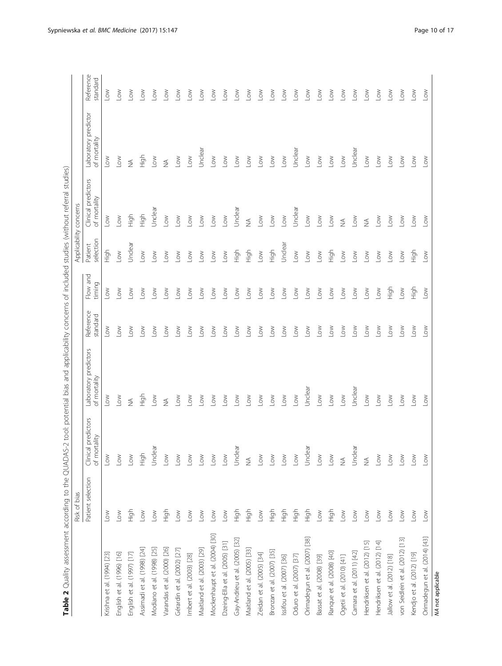| ï<br>١                                                                         |
|--------------------------------------------------------------------------------|
| I<br>i<br>ׇ֚֬֕֡<br>l                                                           |
| ֚֬֕                                                                            |
|                                                                                |
| <b>C</b>                                                                       |
|                                                                                |
| ֦                                                                              |
| ֚֬֕                                                                            |
|                                                                                |
|                                                                                |
|                                                                                |
| J<br>l<br>Ó                                                                    |
| i<br>5                                                                         |
| 5<br>$\mathbf{I}$                                                              |
| l                                                                              |
| Ó<br>ļ<br>j                                                                    |
| ì<br>l<br>l                                                                    |
| Ï                                                                              |
| $\overline{\phantom{a}}$<br>l                                                  |
| ١                                                                              |
| ׇ֬֘֝                                                                           |
|                                                                                |
| j                                                                              |
|                                                                                |
|                                                                                |
|                                                                                |
|                                                                                |
|                                                                                |
|                                                                                |
| $\mathbf$                                                                      |
| j                                                                              |
| ¢                                                                              |
| i<br>č<br>i                                                                    |
|                                                                                |
| ֖֖֖֖֖֖֖֧ׅ֖֖֖֖֧֚֚֚֚֚֚֚֚֚֚֚֚֚֚֚֚֚֚֚֚֚֚֚֬֝֓֝֓֞֓֡֬֓֞֡֬֓֞֓֞֬֓֞֓֞֬                   |
|                                                                                |
|                                                                                |
| I                                                                              |
|                                                                                |
| ١                                                                              |
|                                                                                |
| Į                                                                              |
|                                                                                |
|                                                                                |
|                                                                                |
|                                                                                |
| 1<br>d                                                                         |
|                                                                                |
|                                                                                |
| ١                                                                              |
| ׇ֚֬֕֡<br>٢                                                                     |
| į<br>$\overline{\phantom{a}}$<br>١                                             |
| ć<br>j<br>č<br>j                                                               |
| l                                                                              |
| J                                                                              |
| l                                                                              |
| ׇ֖֖֖֖֖֖֖֖֧ׅׅ֪ׅ֖֖֖֖֖֖֧֪֪֪֪֪֪֪ׅ֧֚֚֚֚֚֚֚֚֚֚֚֚֚֚֚֚֚֚֚֚֚֚֚֚֚֡֬֝֝֓֞<br>i<br>֡֡֡֡֡֡֡֡ |
| ֦                                                                              |
| l<br>֡֡֡֡֡֡֡                                                                   |
|                                                                                |
| ֖֖֢ׅ֖֖ׅׅׅ֧ׅ֧ׅ֧֪ׅ֖֧֚֚֚֚֚֚֚֚֚֚֚֚֚֚֚֚֚֚֚֚֚֚֚֚֚֡֝֝֬֝֝                              |
| ֖֖֖֖֖֖֧ׅ֧ׅ֚֚֚֚֚֚֚֚֚֚֚֚֚֚֚֚֚֚֚֚֚֚֚֚֚֚֚֬֝֝֬֓<br>֚֬֓<br>l                         |
| I                                                                              |
| Í<br>I                                                                         |
| 급<br>ׇ֚֘                                                                       |
| l                                                                              |
|                                                                                |

<span id="page-9-0"></span>

|                                 | Risk of bias      |                                     |                                       |                         |                       | Applicability concerns  |                                     |                                      |                       |
|---------------------------------|-------------------|-------------------------------------|---------------------------------------|-------------------------|-----------------------|-------------------------|-------------------------------------|--------------------------------------|-----------------------|
|                                 | Patient selection | Clinical predictors<br>of mortality | Laboratory predictors<br>of mortality | Reference<br>standard   | Flow and<br>timing    | selection<br>Patient    | Clinical predictors<br>of mortality | Laboratory predictor<br>of mortality | Reference<br>standard |
| Krishna et al. (1994) [23]      | Low               | $\mathsf{Low}$                      | Low                                   | Low                     | $\leq$                | High                    | $\mathop{\mathsf{Now}}$             | <b>NOT</b>                           | Low                   |
| English et al. (1996) [16]      | Low               | Low                                 | Low                                   | Low                     | $\sim$                | Low                     | $\geq$                              | Low                                  | Low                   |
| English et al. (1997) [17]      | High              | $\leq$                              | $\lessapprox$                         | $\sum_{i=1}^{n}$        | $\geq$                | Unclear                 | High                                | $\widetilde{\geq}$                   | $\geq$                |
| Assimadi et al. (1998) [24]     | Low               | High                                | High                                  | $\mathop{\mathsf{Low}}$ | Low                   | $\mathop{\mathsf{Low}}$ | High                                | High                                 | Low                   |
| Modiano et al. (1998) [25]      | Low               | Unclear                             | $\leq$                                | Low                     | $\geq$                | $\leq$                  | Unclear                             | $\geq$                               | $\leq$                |
| Varandas et al. (2000) [26]     | High              | $\sqrt{2}$                          | $\lessgtr$                            | $\sqrt{2}$              | Low                   | Low                     | $\leq$                              | $\lessgtr$                           | Low                   |
| Gérardin et al. (2002) [27]     | <b>NOT</b>        | Low                                 | $\leq$                                | Low                     | <b>NOT</b>            | $\geq$                  | $\geq$                              | Low                                  | <b>NOT</b>            |
| Imbert et al. (2003) [28]       | Low               | $\sqrt{2}$                          | $\mathsf{Low}$                        | Low                     | Low                   | Low                     | $\mathop{\mathsf{Low}}$             | $\mathop{\mathsf{Low}}$              | $\sim$                |
| Maitland et al. (2003) [29]     | <b>NOT</b>        | $\sqrt{2}$                          | $\leq$                                | $\sum$                  | Low                   | Low                     | $\sum_{i=1}^{n}$                    | Unclear                              | Low                   |
| Mockenhaupt et al. (2004) [30]  | <b>NOT</b>        | Low                                 | $\geq$                                | Low                     | <b>NOT</b>            | $\geq$                  | $\mathop{\mathsf{Low}}$             | $\mathop{\mathsf{Now}}$              | Low                   |
| Dzeing-Ella et al. (2005) [31]  | Low               | $\leq$                              | Low                                   | $\sum$                  | Low                   | $\mathop{\mathsf{Now}}$ | $\leq$                              | $\leq$                               | Low                   |
| Gay-Andrieu et al. (2005) [32]  | High              | Unclear                             | $\leq$                                | $\leq$                  | $\sim$                | High                    | Unclear                             | $\sqrt{2}$                           | $\leq$                |
| Maitland et al. (2005) [33]     | High              | $\lessgtr$                          | Low                                   | $\sqrt{2}$              | Low                   | High                    | $\lessapprox$                       | <b>NOT</b>                           | Low                   |
| Zeidan et al. (2005) [34]       | Low               | $\leq$                              | $\geq$                                | $\leq$                  | $\leq$                | $\geq$                  | $\leq$                              | $\leq$                               | $\leq$                |
| Bronzan et al. (2007) [35]      | <b>High</b>       | Low                                 | $\leq$                                | Low                     | $\sum_{i=1}^{\infty}$ | High                    | Low                                 | $\mathop{\mathsf{Now}}$              | $\leq$                |
| Issifou et al. (2007) [36]      | <b>High</b>       | $_{\rm Low}$                        | $\leq$                                | $\sqrt{2}$              | Low                   | Unclear                 | $\mathsf{Low}$                      | $\leq$                               | Low                   |
| Oduro et al. (2007) [37]        | High              | $\leq$                              | $\leq$                                | $\sum$                  | Low                   | Low                     | Unclear                             | Unclear                              | Low                   |
| Orimadegun et al. (2007) [38]   | -<br>上<br>上       | Unclear                             | Unclear                               | Low                     | Low                   | $\geq$                  | Low                                 | Low                                  | Low                   |
| Bassat et al. (2008) [39]       | Low               | $\leq$                              | $\leq$                                | $\leq$                  | $\geq$                | Low                     | $\geq$                              | $\leq$                               | $\geq$                |
| Ranque et al. (2008) [40]       | <b>Figh</b>       | Low                                 | Low                                   | Low                     | Low                   | <b>High</b>             | Low                                 | Low                                  | Low                   |
| Ogetii et al. (2010) [41]       | Low               | $\frac{1}{2}$                       | $\leq$                                | <b>NOT</b>              | Low                   | <b>NOT</b>              | $\lessgtr$                          | Low                                  | Low                   |
| Camara et al. (2011) [42]       | Low               | Unclear                             | Unclear                               | $\sim$                  | Low                   | $\mathop{\mathsf{Now}}$ | Low                                 | Unclear                              | Low                   |
| Hendriksen et al. (2012) [15]   | Low               | $\lessgtr$                          | $\leq$                                | Low                     | Low                   | <b>NOT</b>              | $\lessgtr$                          | Low                                  | Low                   |
| Hendriksen et al. (2012) [14]   | Low               | Low                                 | Low                                   | $\sim$                  | Low                   | $\sim$                  | Low                                 | Low                                  | $\sim$                |
| Jallow et al. (2012) [18]       | Low               | Low                                 | Low                                   | $\leq$                  | High                  | $\sum_{i=1}^{n}$        | $\sim$                              | Low                                  | Low                   |
| von Seidlein et al. (2012) [13] | Low               | $\sum_{i=1}^{\infty}$               | $\sum_{i=1}^{\infty}$                 | Low                     | $\geq$                | $\sim$                  | $\sim$                              | $\sum_{i=1}^{\infty}$                | $\leq$                |
| Kendjo et al. (2012) [19]       | Low               | Low                                 | $\sqrt{2}$                            | $\mathop{\mathsf{Now}}$ | High                  | High                    | $\sim$                              | Low                                  | $\leq$                |
| Orimadegun et al. (2014) [43]   | $\leq$            | $\leq$                              | $\leq$                                | $\leq$                  | $\leq$                | $\leq$                  | $\leq$                              | $\leq$                               | $\leq$                |
| MA not applicable               |                   |                                     |                                       |                         |                       |                         |                                     |                                      |                       |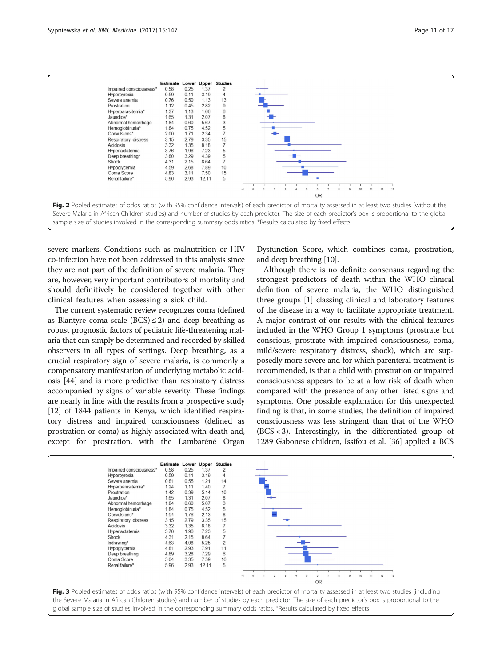<span id="page-10-0"></span>

severe markers. Conditions such as malnutrition or HIV co-infection have not been addressed in this analysis since they are not part of the definition of severe malaria. They are, however, very important contributors of mortality and should definitively be considered together with other clinical features when assessing a sick child.

The current systematic review recognizes coma (defined as Blantyre coma scale  $(BCS) \leq 2$ ) and deep breathing as robust prognostic factors of pediatric life-threatening malaria that can simply be determined and recorded by skilled observers in all types of settings. Deep breathing, as a crucial respiratory sign of severe malaria, is commonly a compensatory manifestation of underlying metabolic acidosis [[44](#page-16-0)] and is more predictive than respiratory distress accompanied by signs of variable severity. These findings are nearly in line with the results from a prospective study [[12](#page-15-0)] of 1844 patients in Kenya, which identified respiratory distress and impaired consciousness (defined as prostration or coma) as highly associated with death and, except for prostration, with the Lambaréné Organ Dysfunction Score, which combines coma, prostration, and deep breathing [\[10\]](#page-15-0).

Although there is no definite consensus regarding the strongest predictors of death within the WHO clinical definition of severe malaria, the WHO distinguished three groups [[1\]](#page-15-0) classing clinical and laboratory features of the disease in a way to facilitate appropriate treatment. A major contrast of our results with the clinical features included in the WHO Group 1 symptoms (prostrate but conscious, prostrate with impaired consciousness, coma, mild/severe respiratory distress, shock), which are supposedly more severe and for which parenteral treatment is recommended, is that a child with prostration or impaired consciousness appears to be at a low risk of death when compared with the presence of any other listed signs and symptoms. One possible explanation for this unexpected finding is that, in some studies, the definition of impaired consciousness was less stringent than that of the WHO (BCS < 3). Interestingly, in the differentiated group of 1289 Gabonese children, Issifou et al. [[36](#page-16-0)] applied a BCS



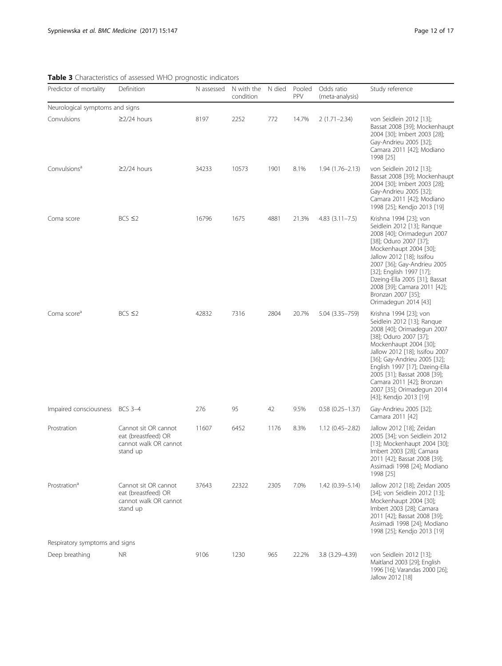# <span id="page-11-0"></span>Table 3 Characteristics of assessed WHO prognostic indicators

| Predictor of mortality          | Definition                                                                       | N assessed | N with the<br>condition | N died | Pooled<br>PPV | Odds ratio<br>(meta-analysis) | Study reference                                                                                                                                                                                                                                                                                                                                                 |
|---------------------------------|----------------------------------------------------------------------------------|------------|-------------------------|--------|---------------|-------------------------------|-----------------------------------------------------------------------------------------------------------------------------------------------------------------------------------------------------------------------------------------------------------------------------------------------------------------------------------------------------------------|
| Neurological symptoms and signs |                                                                                  |            |                         |        |               |                               |                                                                                                                                                                                                                                                                                                                                                                 |
| Convulsions                     | $\geq$ 2/24 hours                                                                | 8197       | 2252                    | 772    | 14.7%         | $2(1.71 - 2.34)$              | von Seidlein 2012 [13];<br>Bassat 2008 [39]; Mockenhaupt<br>2004 [30]; Imbert 2003 [28];<br>Gay-Andrieu 2005 [32];<br>Camara 2011 [42]; Modiano<br>1998 [25]                                                                                                                                                                                                    |
| Convulsions <sup>a</sup>        | $\geq$ 2/24 hours                                                                | 34233      | 10573                   | 1901   | 8.1%          | $1.94(1.76 - 2.13)$           | von Seidlein 2012 [13];<br>Bassat 2008 [39]; Mockenhaupt<br>2004 [30]; Imbert 2003 [28];<br>Gay-Andrieu 2005 [32];<br>Camara 2011 [42]; Modiano<br>1998 [25]; Kendjo 2013 [19]                                                                                                                                                                                  |
| Coma score                      | $BCS \leq 2$                                                                     | 16796      | 1675                    | 4881   | 21.3%         | $4.83(3.11 - 7.5)$            | Krishna 1994 [23]; von<br>Seidlein 2012 [13]; Ranque<br>2008 [40]; Orimadegun 2007<br>[38]; Oduro 2007 [37];<br>Mockenhaupt 2004 [30];<br>Jallow 2012 [18]; Issifou<br>2007 [36]; Gay-Andrieu 2005<br>[32]; English 1997 [17];<br>Dzeing-Ella 2005 [31]; Bassat<br>2008 [39]; Camara 2011 [42];<br>Bronzan 2007 [35];<br>Orimadegun 2014 [43]                   |
| Coma score <sup>a</sup>         | $BCS \leq 2$                                                                     | 42832      | 7316                    | 2804   | 20.7%         | 5.04 (3.35 - 759)             | Krishna 1994 [23]; von<br>Seidlein 2012 [13]; Ranque<br>2008 [40]; Orimadegun 2007<br>[38]; Oduro 2007 [37];<br>Mockenhaupt 2004 [30];<br>Jallow 2012 [18]; Issifou 2007<br>[36]; Gay-Andrieu 2005 [32];<br>English 1997 [17]; Dzeing-Ella<br>2005 [31]; Bassat 2008 [39];<br>Camara 2011 [42]; Bronzan<br>2007 [35]; Orimadegun 2014<br>[43]; Kendjo 2013 [19] |
| Impaired consciousness BCS 3-4  |                                                                                  | 276        | 95                      | 42     | 9.5%          | $0.58(0.25 - 1.37)$           | Gay-Andrieu 2005 [32];<br>Camara 2011 [42]                                                                                                                                                                                                                                                                                                                      |
| Prostration                     | Cannot sit OR cannot<br>eat (breastfeed) OR<br>cannot walk OR cannot<br>stand up | 11607      | 6452                    | 1176   | 8.3%          | $1.12(0.45 - 2.82)$           | Jallow 2012 [18]; Zeidan<br>2005 [34]; von Seidlein 2012<br>[13]; Mockenhaupt 2004 [30];<br>Imbert 2003 [28]; Camara<br>2011 [42]; Bassat 2008 [39];<br>Assimadi 1998 [24]; Modiano<br>1998 [25]                                                                                                                                                                |
| Prostration <sup>a</sup>        | Cannot sit OR cannot<br>eat (breastfeed) OR<br>cannot walk OR cannot<br>stand up | 37643      | 22322                   | 2305   | 7.0%          | $1.42(0.39 - 5.14)$           | Jallow 2012 [18]; Zeidan 2005<br>[34]; von Seidlein 2012 [13];<br>Mockenhaupt 2004 [30];<br>Imbert 2003 [28]; Camara<br>2011 [42]; Bassat 2008 [39];<br>Assimadi 1998 [24]; Modiano<br>1998 [25]; Kendjo 2013 [19]                                                                                                                                              |
| Respiratory symptoms and signs  |                                                                                  |            |                         |        |               |                               |                                                                                                                                                                                                                                                                                                                                                                 |
| Deep breathing                  | NR                                                                               | 9106       | 1230                    | 965    | 22.2%         | 3.8 (3.29-4.39)               | von Seidlein 2012 [13];<br>Maitland 2003 [29]; English<br>1996 [16]; Varandas 2000 [26];<br>Jallow 2012 [18]                                                                                                                                                                                                                                                    |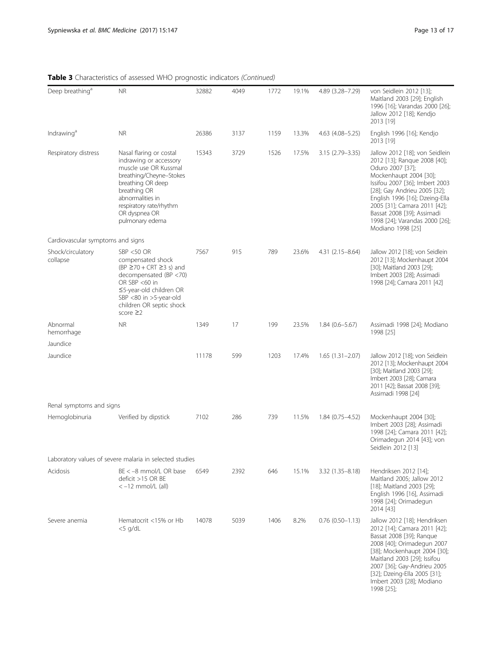| Deep breathing <sup>a</sup>       | <b>NR</b>                                                                                                                                                                                                                      | 32882 | 4049 | 1772 | 19.1% | 4.89 (3.28–7.29)    | von Seidlein 2012 [13];<br>Maitland 2003 [29]; English<br>1996 [16]; Varandas 2000 [26];<br>Jallow 2012 [18]; Kendjo<br>2013 [19]                                                                                                                                                                                                     |
|-----------------------------------|--------------------------------------------------------------------------------------------------------------------------------------------------------------------------------------------------------------------------------|-------|------|------|-------|---------------------|---------------------------------------------------------------------------------------------------------------------------------------------------------------------------------------------------------------------------------------------------------------------------------------------------------------------------------------|
| Indrawing <sup>a</sup>            | <b>NR</b>                                                                                                                                                                                                                      | 26386 | 3137 | 1159 | 13.3% | 4.63 (4.08-5.25)    | English 1996 [16]; Kendjo<br>2013 [19]                                                                                                                                                                                                                                                                                                |
| Respiratory distress              | Nasal flaring or costal<br>indrawing or accessory<br>muscle use OR Kussmal<br>breathing/Cheyne-Stokes<br>breathing OR deep<br>breathing OR<br>abnormalities in<br>respiratory rate/rhythm<br>OR dyspnea OR<br>pulmonary edema  | 15343 | 3729 | 1526 | 17.5% | 3.15 (2.79 - 3.35)  | Jallow 2012 [18]; von Seidlein<br>2012 [13]; Ranque 2008 [40];<br>Oduro 2007 [37];<br>Mockenhaupt 2004 [30];<br>Issifou 2007 [36]; Imbert 2003<br>[28]; Gay Andrieu 2005 [32];<br>English 1996 [16]; Dzeing-Ella<br>2005 [31]; Camara 2011 [42];<br>Bassat 2008 [39]; Assimadi<br>1998 [24]; Varandas 2000 [26];<br>Modiano 1998 [25] |
| Cardiovascular symptoms and signs |                                                                                                                                                                                                                                |       |      |      |       |                     |                                                                                                                                                                                                                                                                                                                                       |
| Shock/circulatory<br>collapse     | $SBP < 50$ OR<br>compensated shock<br>$(BP \geq 70 + CRT \geq 3 s)$ and<br>decompensated (BP <70)<br>OR SBP $<$ 60 in<br>$\leq$ 5-year-old children OR<br>SBP <80 in >5-year-old<br>children OR septic shock<br>score $\geq$ 2 | 7567  | 915  | 789  | 23.6% | $4.31(2.15 - 8.64)$ | Jallow 2012 [18]; von Seidlein<br>2012 [13]; Mockenhaupt 2004<br>[30]; Maitland 2003 [29];<br>Imbert 2003 [28]; Assimadi<br>1998 [24]; Camara 2011 [42]                                                                                                                                                                               |
| Abnormal<br>hemorrhage            | <b>NR</b>                                                                                                                                                                                                                      | 1349  | 17   | 199  | 23.5% | $1.84(0.6 - 5.67)$  | Assimadi 1998 [24]; Modiano<br>1998 [25]                                                                                                                                                                                                                                                                                              |
| Jaundice                          |                                                                                                                                                                                                                                |       |      |      |       |                     |                                                                                                                                                                                                                                                                                                                                       |
| Jaundice                          |                                                                                                                                                                                                                                | 11178 | 599  | 1203 | 17.4% | $1.65(1.31-2.07)$   | Jallow 2012 [18]; von Seidlein<br>2012 [13]; Mockenhaupt 2004<br>[30]; Maitland 2003 [29];<br>Imbert 2003 [28]; Camara<br>2011 [42]; Bassat 2008 [39];<br>Assimadi 1998 [24]                                                                                                                                                          |
| Renal symptoms and signs          |                                                                                                                                                                                                                                |       |      |      |       |                     |                                                                                                                                                                                                                                                                                                                                       |
| Hemoglobinuria                    | Verified by dipstick                                                                                                                                                                                                           | 7102  | 286  | 739  | 11.5% | $1.84(0.75 - 4.52)$ | Mockenhaupt 2004 [30];<br>Imbert 2003 [28]; Assimadi<br>1998 [24]; Camara 2011 [42];<br>Orimadegun 2014 [43]; von<br>Seidlein 2012 [13]                                                                                                                                                                                               |
|                                   | Laboratory values of severe malaria in selected studies                                                                                                                                                                        |       |      |      |       |                     |                                                                                                                                                                                                                                                                                                                                       |
| Acidosis                          | $BE < -8$ mmol/L OR base<br>deficit >15 OR BE<br>$<-12$ mmol/L (all)                                                                                                                                                           | 6549  | 2392 | 646  | 15.1% | $3.32(1.35 - 8.18)$ | Hendriksen 2012 [14];<br>Maitland 2005; Jallow 2012<br>[18]; Maitland 2003 [29];<br>English 1996 [16], Assimadi<br>1998 [24]; Orimadegun<br>2014 [43]                                                                                                                                                                                 |
| Severe anemia                     | Hematocrit <15% or Hb<br>$<$ 5 g/dL                                                                                                                                                                                            | 14078 | 5039 | 1406 | 8.2%  | $0.76(0.50-1.13)$   | Jallow 2012 [18]; Hendriksen<br>2012 [14]; Camara 2011 [42];<br>Bassat 2008 [39]; Rangue<br>2008 [40]; Orimadegun 2007<br>[38]; Mockenhaupt 2004 [30];<br>Maitland 2003 [29]; Issifou<br>2007 [36]; Gay-Andrieu 2005<br>[32]; Dzeing-Ella 2005 [31];<br>Imbert 2003 [28]; Modiano<br>1998 [25];                                       |

# Table 3 Characteristics of assessed WHO prognostic indicators (Continued)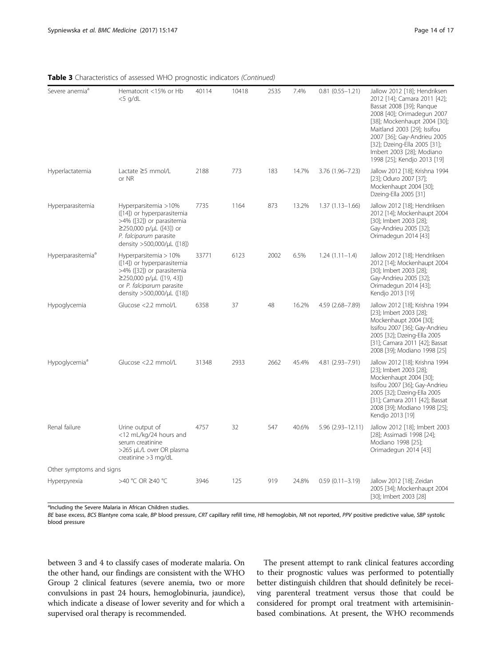| Severe anemia <sup>a</sup>    | Hematocrit <15% or Hb                                                                                                                                                   | 40114 | 10418 | 2535 | 7.4%  | $0.81(0.55 - 1.21)$ | Jallow 2012 [18]; Hendriksen                                                                                                                                                                                                                                                     |
|-------------------------------|-------------------------------------------------------------------------------------------------------------------------------------------------------------------------|-------|-------|------|-------|---------------------|----------------------------------------------------------------------------------------------------------------------------------------------------------------------------------------------------------------------------------------------------------------------------------|
|                               | $<$ 5 g/dL                                                                                                                                                              |       |       |      |       |                     | 2012 [14]; Camara 2011 [42];<br>Bassat 2008 [39]; Rangue<br>2008 [40]; Orimadegun 2007<br>[38]; Mockenhaupt 2004 [30];<br>Maitland 2003 [29]; Issifou<br>2007 [36]; Gay-Andrieu 2005<br>[32]; Dzeing-Ella 2005 [31];<br>Imbert 2003 [28]; Modiano<br>1998 [25]; Kendjo 2013 [19] |
| Hyperlactatemia               | Lactate ≥5 mmol/L<br>or NR                                                                                                                                              | 2188  | 773   | 183  | 14.7% | 3.76 (1.96-7.23)    | Jallow 2012 [18]; Krishna 1994<br>[23]; Oduro 2007 [37];<br>Mockenhaupt 2004 [30];<br>Dzeing-Ella 2005 [31]                                                                                                                                                                      |
| Hyperparasitemia              | Hyperparsitemia >10%<br>([14]) or hyperparasitemia<br>>4% ([32]) or parasitemia<br>$≥250,000 p/µL$ ([43]) or<br>P. falciparum parasite<br>density >500,000/µL ([18])    | 7735  | 1164  | 873  | 13.2% | $1.37(1.13 - 1.66)$ | Jallow 2012 [18]; Hendriksen<br>2012 [14]; Mockenhaupt 2004<br>[30]; Imbert 2003 [28];<br>Gay-Andrieu 2005 [32];<br>Orimadegun 2014 [43]                                                                                                                                         |
| Hyperparasitemia <sup>a</sup> | Hyperparsitemia > 10%<br>([14]) or hyperparasitemia<br>>4% ([32]) or parasitemia<br>≥250,000 p/µL ([19, 43])<br>or P. falciparum parasite<br>density >500,000/µL ([18]) | 33771 | 6123  | 2002 | 6.5%  | $1.24(1.11-1.4)$    | Jallow 2012 [18]; Hendriksen<br>2012 [14]; Mockenhaupt 2004<br>[30]; Imbert 2003 [28];<br>Gay-Andrieu 2005 [32];<br>Orimadegun 2014 [43];<br>Kendjo 2013 [19]                                                                                                                    |
| Hypoglycemia                  | Glucose <2.2 mmol/L                                                                                                                                                     | 6358  | 37    | 48   | 16.2% | 4.59 (2.68-7.89)    | Jallow 2012 [18]; Krishna 1994<br>[23]; Imbert 2003 [28];<br>Mockenhaupt 2004 [30];<br>Issifou 2007 [36]; Gay-Andrieu<br>2005 [32]; Dzeing-Ella 2005<br>[31]; Camara 2011 [42]; Bassat<br>2008 [39]; Modiano 1998 [25]                                                           |
| Hypoglycemia <sup>a</sup>     | Glucose <2.2 mmol/L                                                                                                                                                     | 31348 | 2933  | 2662 | 45.4% | 4.81 (2.93-7.91)    | Jallow 2012 [18]; Krishna 1994<br>[23]; Imbert 2003 [28];<br>Mockenhaupt 2004 [30];<br>Issifou 2007 [36]; Gay-Andrieu<br>2005 [32]; Dzeing-Ella 2005<br>[31]; Camara 2011 [42]; Bassat<br>2008 [39]; Modiano 1998 [25];<br>Kendjo 2013 [19]                                      |
| Renal failure                 | Urine output of<br><12 mL/kg/24 hours and<br>serum creatinine<br>>265 µL/L over OR plasma<br>creatinine > 3 mg/dL                                                       | 4757  | 32    | 547  | 40.6% | 5.96 (2.93-12.11)   | Jallow 2012 [18]; Imbert 2003<br>[28]; Assimadi 1998 [24];<br>Modiano 1998 [25];<br>Orimadegun 2014 [43]                                                                                                                                                                         |
| Other symptoms and signs      |                                                                                                                                                                         |       |       |      |       |                     |                                                                                                                                                                                                                                                                                  |
| Hyperpyrexia                  | >40 °C OR ≥40 °C                                                                                                                                                        | 3946  | 125   | 919  | 24.8% | $0.59(0.11 - 3.19)$ | Jallow 2012 [18]; Zeidan<br>2005 [34]; Mockenhaupt 2004<br>[30]; Imbert 2003 [28]                                                                                                                                                                                                |

# Table 3 Characteristics of assessed WHO prognostic indicators (Continued)

<sup>a</sup>Including the Severe Malaria in African Children studies.

BE base excess, BCS Blantyre coma scale, BP blood pressure, CRT capillary refill time, HB hemoglobin, NR not reported, PPV positive predictive value, SBP systolic blood pressure

between 3 and 4 to classify cases of moderate malaria. On the other hand, our findings are consistent with the WHO Group 2 clinical features (severe anemia, two or more convulsions in past 24 hours, hemoglobinuria, jaundice), which indicate a disease of lower severity and for which a supervised oral therapy is recommended.

The present attempt to rank clinical features according to their prognostic values was performed to potentially better distinguish children that should definitely be receiving parenteral treatment versus those that could be considered for prompt oral treatment with artemisininbased combinations. At present, the WHO recommends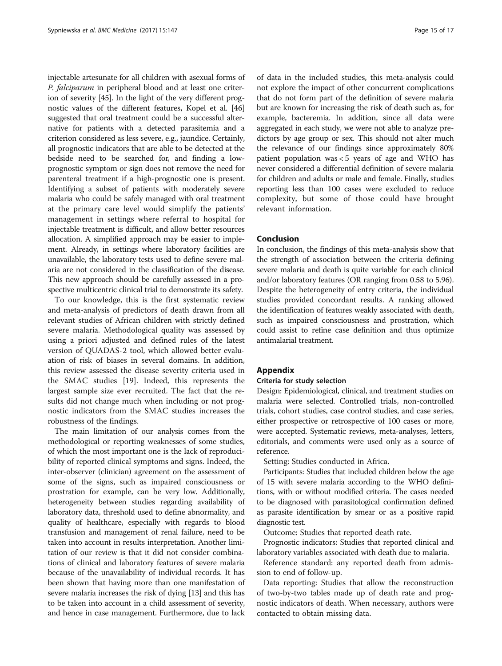<span id="page-14-0"></span>injectable artesunate for all children with asexual forms of P. falciparum in peripheral blood and at least one criterion of severity [[45](#page-16-0)]. In the light of the very different prognostic values of the different features, Kopel et al. [[46](#page-16-0)] suggested that oral treatment could be a successful alternative for patients with a detected parasitemia and a criterion considered as less severe, e.g., jaundice. Certainly, all prognostic indicators that are able to be detected at the bedside need to be searched for, and finding a lowprognostic symptom or sign does not remove the need for parenteral treatment if a high-prognostic one is present. Identifying a subset of patients with moderately severe malaria who could be safely managed with oral treatment at the primary care level would simplify the patients' management in settings where referral to hospital for injectable treatment is difficult, and allow better resources allocation. A simplified approach may be easier to implement. Already, in settings where laboratory facilities are unavailable, the laboratory tests used to define severe malaria are not considered in the classification of the disease. This new approach should be carefully assessed in a prospective multicentric clinical trial to demonstrate its safety.

To our knowledge, this is the first systematic review and meta-analysis of predictors of death drawn from all relevant studies of African children with strictly defined severe malaria. Methodological quality was assessed by using a priori adjusted and defined rules of the latest version of QUADAS-2 tool, which allowed better evaluation of risk of biases in several domains. In addition, this review assessed the disease severity criteria used in the SMAC studies [[19\]](#page-15-0). Indeed, this represents the largest sample size ever recruited. The fact that the results did not change much when including or not prognostic indicators from the SMAC studies increases the robustness of the findings.

The main limitation of our analysis comes from the methodological or reporting weaknesses of some studies, of which the most important one is the lack of reproducibility of reported clinical symptoms and signs. Indeed, the inter-observer (clinician) agreement on the assessment of some of the signs, such as impaired consciousness or prostration for example, can be very low. Additionally, heterogeneity between studies regarding availability of laboratory data, threshold used to define abnormality, and quality of healthcare, especially with regards to blood transfusion and management of renal failure, need to be taken into account in results interpretation. Another limitation of our review is that it did not consider combinations of clinical and laboratory features of severe malaria because of the unavailability of individual records. It has been shown that having more than one manifestation of severe malaria increases the risk of dying [[13](#page-15-0)] and this has to be taken into account in a child assessment of severity, and hence in case management. Furthermore, due to lack

of data in the included studies, this meta-analysis could not explore the impact of other concurrent complications that do not form part of the definition of severe malaria but are known for increasing the risk of death such as, for example, bacteremia. In addition, since all data were aggregated in each study, we were not able to analyze predictors by age group or sex. This should not alter much the relevance of our findings since approximately 80% patient population was < 5 years of age and WHO has never considered a differential definition of severe malaria for children and adults or male and female. Finally, studies reporting less than 100 cases were excluded to reduce complexity, but some of those could have brought relevant information.

# Conclusion

In conclusion, the findings of this meta-analysis show that the strength of association between the criteria defining severe malaria and death is quite variable for each clinical and/or laboratory features (OR ranging from 0.58 to 5.96). Despite the heterogeneity of entry criteria, the individual studies provided concordant results. A ranking allowed the identification of features weakly associated with death, such as impaired consciousness and prostration, which could assist to refine case definition and thus optimize antimalarial treatment.

## Appendix

## Criteria for study selection

Design: Epidemiological, clinical, and treatment studies on malaria were selected. Controlled trials, non-controlled trials, cohort studies, case control studies, and case series, either prospective or retrospective of 100 cases or more, were accepted. Systematic reviews, meta-analyses, letters, editorials, and comments were used only as a source of reference.

Setting: Studies conducted in Africa.

Participants: Studies that included children below the age of 15 with severe malaria according to the WHO definitions, with or without modified criteria. The cases needed to be diagnosed with parasitological confirmation defined as parasite identification by smear or as a positive rapid diagnostic test.

Outcome: Studies that reported death rate.

Prognostic indicators: Studies that reported clinical and laboratory variables associated with death due to malaria.

Reference standard: any reported death from admission to end of follow-up.

Data reporting: Studies that allow the reconstruction of two-by-two tables made up of death rate and prognostic indicators of death. When necessary, authors were contacted to obtain missing data.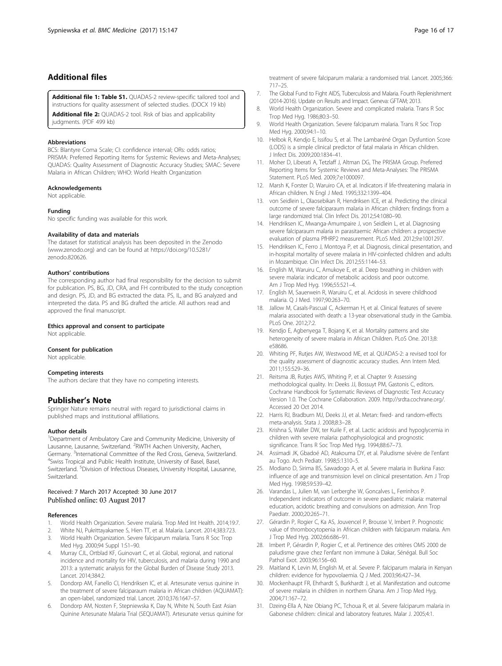# <span id="page-15-0"></span>Additional files

[Additional file 1: Table S1.](dx.doi.org/10.1186/s12916-017-0906-5) QUADAS-2 review-specific tailored tool and instructions for quality assessment of selected studies. (DOCX 19 kb) [Additional file 2:](dx.doi.org/10.1186/s12916-017-0906-5) QUADAS-2 tool. Risk of bias and applicability

judgments. (PDF 499 kb)

## Abbreviations

BCS: Blantyre Coma Scale; CI: confidence interval; ORs: odds ratios; PRISMA: Preferred Reporting Items for Systemic Reviews and Meta-Analyses; QUADAS: Quality Assessment of Diagnostic Accuracy Studies; SMAC: Severe Malaria in African Children; WHO: World Health Organization

#### Acknowledgements

Not applicable.

## Funding

No specific funding was available for this work.

#### Availability of data and materials

The dataset for statistical analysis has been deposited in the Zenodo ([www.zenodo.org](http://www.zenodo.org/)) and can be found at [https://doi.org/10.5281/](https://doi.org/10.5281/zenodo.820626) [zenodo.820626](https://doi.org/10.5281/zenodo.820626).

## Authors' contributions

The corresponding author had final responsibility for the decision to submit for publication. PS, BG, JD, CRA, and FH contributed to the study conception and design. PS, JD, and BG extracted the data. PS, IL, and BG analyzed and interpreted the data. PS and BG drafted the article. All authors read and approved the final manuscript.

## Ethics approval and consent to participate

Not applicable.

#### Consent for publication

Not applicable.

#### Competing interests

The authors declare that they have no competing interests.

# Publisher's Note

Springer Nature remains neutral with regard to jurisdictional claims in published maps and institutional affiliations.

## Author details

<sup>1</sup>Department of Ambulatory Care and Community Medicine, University of Lausanne, Lausanne, Switzerland. <sup>2</sup>RWTH Aachen University, Aachen, Germany. <sup>3</sup>International Committee of the Red Cross, Geneva, Switzerland.<br><sup>4</sup>Swits Tropical and Public Hoalth Institute. University of Basel, Basel. <sup>4</sup>Swiss Tropical and Public Health Institute, University of Basel, Basel, Switzerland. <sup>5</sup>Division of Infectious Diseases, University Hospital, Lausanne, Switzerland.

## Received: 7 March 2017 Accepted: 30 June 2017 Published online: 03 August 2017

## References

- 1. World Health Organization. Severe malaria. Trop Med Int Health. 2014;19:7.
- 2. White NJ, Pukrittayakamee S, Hien TT, et al. Malaria. Lancet. 2014;383:723. 3. World Health Organization. Severe falciparum malaria. Trans R Soc Trop
- Med Hyg. 2000;94 Suppl 1:S1–90.
- 4. Murray CJL, Ortblad KF, Guinovart C, et al. Global, regional, and national incidence and mortality for HIV, tuberculosis, and malaria during 1990 and 2013: a systematic analysis for the Global Burden of Disease Study 2013. Lancet. 2014;384:2.
- 5. Dondorp AM, Fanello CI, Hendriksen IC, et al. Artesunate versus quinine in the treatment of severe falciparaum malaria in African children (AQUAMAT): an open-label, randomized trial. Lancet. 2010;376:1647–57.
- 6. Dondorp AM, Nosten F, Stepniewska K, Day N, White N, South East Asian Quinine Artesunate Malaria Trial (SEQUAMAT). Artesunate versus quinine for

treatment of severe falciparum malaria: a randomised trial. Lancet. 2005;366: 717–25.

- 7. The Global Fund to Fight AIDS, Tuberculosis and Malaria. Fourth Replenishment (2014-2016). Update on Results and Impact. Geneva: GFTAM; 2013.
- 8. World Health Organization. Severe and complicated malaria. Trans R Soc Trop Med Hyg. 1986;80:3–50.
- 9. World Health Organization. Severe falciparum malaria. Trans R Soc Trop Med Hyg. 2000;94:1–10.
- 10. Helbok R, Kendjo E, Issifou S, et al. The Lambaréné Organ Dysfuntion Score (LODS) is a simple clinical predictor of fatal malaria in African children. J Infect Dis. 2009;200:1834–41.
- 11. Moher D, Liberati A, Tetzlaff J, Altman DG, The PRISMA Group. Preferred Reporting Items for Systemic Reviews and Meta-Analyses: The PRISMA Statement. PLoS Med. 2009;7:e1000097.
- 12. Marsh K, Forster D, Waruiro CA, et al. Indicators if life-threatening malaria in African children. N Engl J Med. 1995;332:1399–404.
- 13. von Seidlein L, Olaosebikan R, Hendriksen ICE, et al. Predicting the clinical outcome of severe falciparaum malaria in African children: findings from a large randomized trial. Clin Infect Dis. 2012;54:1080–90.
- 14. Hendriksen IC, Mwanga-Amumpaire J, von Seidlein L, et al. Diagnosing severe falciparaum malaria in parasitaemic African children: a prospective evaluation of plasma PfHRP2 measurement. PLoS Med. 2012;9:e1001297.
- 15. Hendriksen IC, Ferro J, Montoya P, et al. Diagnosis, clinical presentation, and in-hospital mortality of severe malaria in HIV-coinfected children and adults in Mozambique. Clin Infect Dis. 2012;55:1144–53.
- 16. English M, Waruiru C, Amukoye E, et al. Deep breathing in children with severe malaria: indicator of metabolic acidosis and poor outcome. Am J Trop Med Hyg. 1996;55:521–4.
- 17. English M, Sauerwein R, Waruiru C, et al. Acidosis in severe childhood malaria. Q J Med. 1997;90:263–70.
- 18. Jallow M, Casals-Pascual C, Ackerman H, et al. Clinical features of severe malaria associated with death: a 13-year observational study in the Gambia. PLoS One. 2012;7:2.
- 19. Kendjo E, Agbenyega T, Bojang K, et al. Mortality patterns and site heterogeneity of severe malaria in African Children. PLoS One. 2013;8: e58686.
- 20. Whiting PF, Rutjes AW, Westwood ME, et al. QUADAS-2: a revised tool for the quality assessment of diagnostic accuracy studies. Ann Intern Med. 2011;155:529–36.
- 21. Reitsma JB, Rutjes AWS, Whiting P, et al. Chapter 9: Assessing methodological quality. In: Deeks JJ, Bossuyt PM, Gastonis C, editors. Cochrane Handbook for Systematic Reviews of Diagnostic Test Accuracy Version 1.0. The Cochrane Collaboration. 2009. [http://srdta.cochrane.org/.](http://srdta.cochrane.org/) Accessed 20 Oct 2014.
- 22. Harris RJ, Bradburn MJ, Deeks JJ, et al. Metan: fixed- and random-effects meta-analysis. Stata J. 2008;8:3–28.
- 23. Krishna S, Waller DW, ter Kuile F, et al. Lactic acidosis and hypoglycemia in children with severe malaria: pathophysiological and prognostic significance. Trans R Soc Trop Med Hyg. 1994;88:67–73.
- 24. Assimadi JK, Gbadoé AD, Atakouma DY, et al. Paludisme sévère de l'enfant au Togo. Arch Pediatr. 1998;5:1310–5.
- 25. Modiano D, Sirima BS, Sawadogo A, et al. Severe malaria in Burkina Faso: influence of age and transmission level on clinical presentation. Am J Trop Med Hyg. 1998;59:539–42.
- 26. Varandas L, Julien M, van Lerberghe W, Goncalves L, Ferrinhos P. Independent indicators of outcome in severe paediatric malaria: maternal education, acidotic breathing and convulsions on admission. Ann Trop Paediatr. 2000;20:265–71.
- 27. Gérardin P, Rogier C, Ka AS, Jouvencel P, Brousse V, Imbert P. Prognostic value of thrombocytopenia in African children with falciparum malaria. Am J Trop Med Hyg. 2002;66:686–91.
- 28. Imbert P, Gérardin P, Rogier C, et al. Pertinence des critères OMS 2000 de paludisme grave chez l'enfant non immune à Dakar, Sénégal. Bull Soc Pathol Exot. 2003;96:156–60.
- 29. Maitland K, Levin M, English M, et al. Severe P. falciparum malaria in Kenyan children: evidence for hypovolaemia. Q J Med. 2003;96:427–34.
- 30. Mockenhaupt FR, Ehrhardt S, Burkhardt J, et al. Manifestation and outcome of severe malaria in children in northern Ghana. Am J Trop Med Hyg. 2004;71:167–72.
- 31. Dzeing-Ella A, Nze Obiang PC, Tchoua R, et al. Severe falciparum malaria in Gabonese children: clinical and laboratory features. Malar J. 2005;4:1.